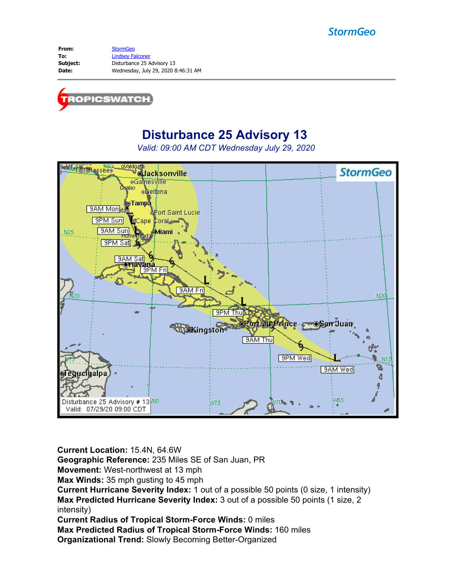## **StormGeo**

From: [StormGeo](mailto:tropicswatch@stormgeo.com) **To:** [Lindsey Falconer](mailto:Lindsey.Falconer@stormgeo.com) **Subject:** Disturbance 25 Advisory 13 **Date:** Wednesday, July 29, 2020 8:46:31 AM



# **Disturbance 25 Advisory 13**

*Valid: 09:00 AM CDT Wednesday July 29, 2020*



**Current Location:** 15.4N, 64.6W

**Geographic Reference:** 235 Miles SE of San Juan, PR

**Movement:** West-northwest at 13 mph

**Max Winds:** 35 mph gusting to 45 mph

**Current Hurricane Severity Index:** 1 out of a possible 50 points (0 size, 1 intensity) **Max Predicted Hurricane Severity Index:** 3 out of a possible 50 points (1 size, 2 intensity)

**Current Radius of Tropical Storm-Force Winds:** 0 miles

**Max Predicted Radius of Tropical Storm-Force Winds:** 160 miles

**Organizational Trend:** Slowly Becoming Better-Organized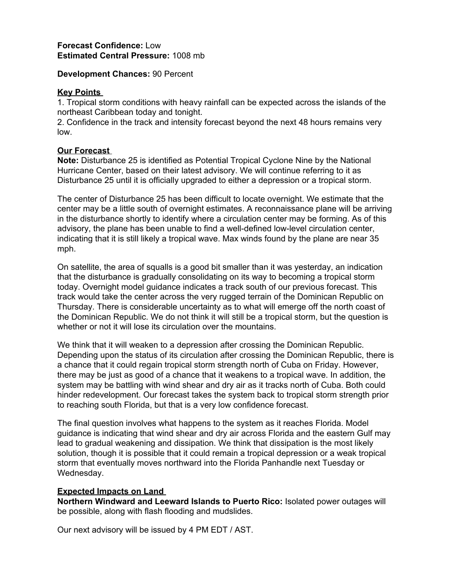#### **Forecast Confidence:** Low **Estimated Central Pressure:** 1008 mb

#### **Development Chances:** 90 Percent

#### **Key Points**

1. Tropical storm conditions with heavy rainfall can be expected across the islands of the northeast Caribbean today and tonight.

2. Confidence in the track and intensity forecast beyond the next 48 hours remains very low.

### **Our Forecast**

**Note:** Disturbance 25 is identified as Potential Tropical Cyclone Nine by the National Hurricane Center, based on their latest advisory. We will continue referring to it as Disturbance 25 until it is officially upgraded to either a depression or a tropical storm.

The center of Disturbance 25 has been difficult to locate overnight. We estimate that the center may be a little south of overnight estimates. A reconnaissance plane will be arriving in the disturbance shortly to identify where a circulation center may be forming. As of this advisory, the plane has been unable to find a well-defined low-level circulation center, indicating that it is still likely a tropical wave. Max winds found by the plane are near 35 mph.

On satellite, the area of squalls is a good bit smaller than it was yesterday, an indication that the disturbance is gradually consolidating on its way to becoming a tropical storm today. Overnight model guidance indicates a track south of our previous forecast. This track would take the center across the very rugged terrain of the Dominican Republic on Thursday. There is considerable uncertainty as to what will emerge off the north coast of the Dominican Republic. We do not think it will still be a tropical storm, but the question is whether or not it will lose its circulation over the mountains.

We think that it will weaken to a depression after crossing the Dominican Republic. Depending upon the status of its circulation after crossing the Dominican Republic, there is a chance that it could regain tropical storm strength north of Cuba on Friday. However, there may be just as good of a chance that it weakens to a tropical wave. In addition, the system may be battling with wind shear and dry air as it tracks north of Cuba. Both could hinder redevelopment. Our forecast takes the system back to tropical storm strength prior to reaching south Florida, but that is a very low confidence forecast.

The final question involves what happens to the system as it reaches Florida. Model guidance is indicating that wind shear and dry air across Florida and the eastern Gulf may lead to gradual weakening and dissipation. We think that dissipation is the most likely solution, though it is possible that it could remain a tropical depression or a weak tropical storm that eventually moves northward into the Florida Panhandle next Tuesday or Wednesday.

#### **Expected Impacts on Land**

**Northern Windward and Leeward Islands to Puerto Rico:** Isolated power outages will be possible, along with flash flooding and mudslides.

Our next advisory will be issued by 4 PM EDT / AST.